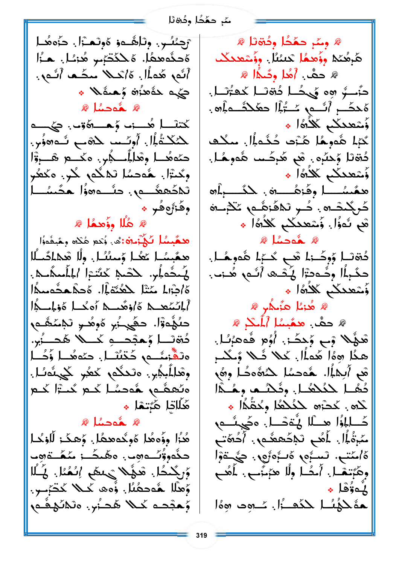مَّدٍ حَمَّحُا وِدُةَ لَا

رْجِئْتُــو. وِتْلَهُّــوْ هُوِتْـمْـزَا. جَزْهِطُــا ەَحنُەھھُا. ەَحْكَتْبُر هُزْسًا. ھزُا أَنَّهِ هَٰدَاً. هَ/ْدَلا سَضَّمَ أَنَّـهِ. g War, oise a g A Lioca A كتتسا هُــزم وُـمــة قوم جي لِكُنْكُمَاً. أُوِيَّـب لِكُوْمٍ شُـ20وُنٍ. دحَموهُـــا وِهْلِلَمـــهُرِ. وكَــــع هــــزوّا وِكْتْزَا. هُـْمَصْلُمْ لْكُلْمَ، كُلْرٍ. مَكْفُرٍ تَكْتَحَعَّـــوس، حَتَّـــوهؤُلْ هَجَّىسُـــل وَهَزْوَوْهِ \* & جُلّا وذُهها & هِهُبِسُلْ لَكُنْزَمِهُ: قُدِ هَدْهِ وَهُبِشَوْا همَّبِسُـا عَعُـا وَمِيسُٰـا. وِلَا هَٰـهاكَــلَا لْمَحْمَلُو. حَصْبِ حَتَّتِهِ الْمَلَمِيْمَ حَمَ كَاجْرَاط مَتْتَل حَعْتَمْ الْمُ هَدْهُ هُدُومِهُ ا أَبِائِمُنَعِيهِ هَ/وَهَيْهِ أَهْدَا هَوْبِاسِكُوا أَ حلُهُه وْٓا. حقِّي-نُبر هُوهُـــوِ لَـجْمَعُــْمِــر دُةتَ أَرْهَبْهِــهِ كَـــلا هُهـــزُبر. ەنشەمە كَتْسُّل. حىمھُــا ۆُكُــا وقَدلِلُبِدُينِ وتَحَكُّمِ ۖ كَعُينٍ ۖ كَيْرِيتُونُـلٍ. ونُهڤُم هُوصُل کُنم گُنُّا کُنم هَلَاتا هَبْتُمَا \* 2 Lisai 2 هُٰذٗا وِؤُهِهٗا هُوِيٌدِهِدِمُا. وُهِكُوْ لِّأَوْيُحا جِدُّەوَتُـُــە بِهِ ، وَهُمِجُـــز مَمُجُــة بِهِ بِ وَرِكِدْهُا , شَوْيَلاَ مِنْ الْمُمْا , لِمُمْا , لِمَمْا , لِمَمْا , وِّهْلَا هُەدەُىُلْ. ؤُەھ كَىلا كَتْبُر. وُهبْحــه كَــلا هُحــزُنْ ونْكَلِّحْـهُــهِ

& وسٌم ح**مَ**حُا وحُدّةَ لا هِ هَرمُكُمْ وَوُهِمُا تَبْسُلُ. وَوُسْعِدِكْت *ه* حقٌّ. أمُا وضَدًا *ه* دُنْبُ وهِ فَيْحُمْ دُوَّسْا كَعَزَّسْاً. هُدَهُـــ ٖ ٱنــُـــمِ مُـــۃُ ٱلمسلام اللہ علاقہ بہ مقدم اللہ علاقہ اللہ علاقہ من وَمْعِدَكُم لَكُلُّهَ \* كَبَا هُومِمَا هَـْوَد دُخُواً. مكْ دُةِتَا وَجِبُوءِ ۚ هُم هُرِكَـب هُومُـاً. ؤشعنكم للأه ا همُسُط وقُزهُ في حَكَوباً ه كُرِيْكْدُ ۞ . كُــرِ لْكُفّْرَهُ مِنْ كَلْإِسْرَةَ هْمِ نُوزًا. وُسْعِدكُم لَلأُهُا \* R Lisan R دُةتا زَوِدًا مَى حُبُا هُوهُا. حَدَّبِلَا وِحُـوتْزَا لِمُـْتَــٰهِ ٱلـُـٰمِ هُــٰٓنِـٰ . وُسْعِدِكُم كَلَّاهُ \* ه هُزْمًا هزَيكُمْ هَ ه حقّ همّبسُل أَلَمْكُمْ & هَيْمًا وَبِ وَحِكَزٍ. أَوُم فَوْمَئِنًا. هَذَا هِهُا هُماًا. كَمَلا شَلا وُمُكْسِرِ هْمِ أَبِيْلِهِ. هُوصِيُل حَيْثُوهُ وُمَا وَهُي دُهُــا حَدُحْهُــا. وِثَـحْسُــم وِـمُــدَّا لاه . كحرْن للطُلْطُ وحُقُدًا \* مصْرِحْهِ وَالْكُمْ إِنَّ الْسَعَةِ إِنَّ إِنَّ إِنَّ إِنَّ إِنَّ إِنَّ إِنَّ إِنَّ إِنَّ إِنَّ إِنّ مَبْرَةُ أَلِ. أَهُمْ نَجْحُعْعُمِ. أَحُوَّتَمِ هُامِّتَـــمِ. تَسْبُمِ هَٰلَــبُّهِوَى جَنِّــةَوْا وهَبْتِهْما. أَحدُا وِلًا هزَمَنِّبٍ. لَمُصْ بُەؤْقَا \* هَ كَوُنُهَا كَكُفْ أَنْ سُلْمَو وَوَٰا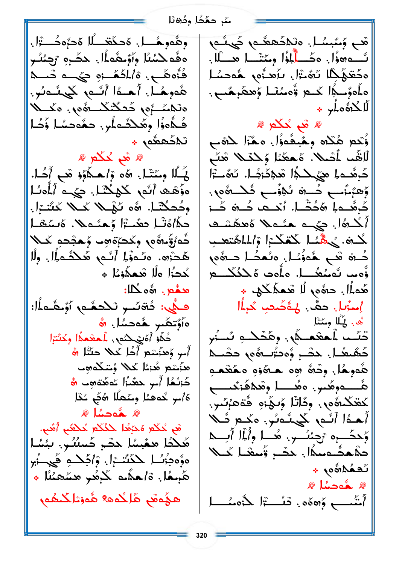مّم حمّصًا ودُةِ لْل

وهُومِ هُـــا. وَحكَفَـــلًا وَحَرُوحُـــتْزَا. ەقەخشئا وأۇمغْماًا. خصّْرِهِ ۞تحنُبُو فُنُوهُبٍ. ةُالمُضَّنَوِ صَحْبٍ شَسْمً هُومِمًا. أَحْدُا أَنَّـهِ كَجِنَّـهُو. ەتكىئىشى كىڭنگىشى . ەكىللا فُـذُهوُٰا وِهَٰـلأَـُـهلُـهِ. حـفُـهحـمُــا وَُحُــا تكخَّصفُه \* ه شم مُكَم ه لَيُّلًا وِمَتْنَا. ۞ه وۡ/هكُوۡوَ هُم أَحُـا. ەؤھْھ آئْمِ كْلِمْكْتَا. ئەگ أَنَّامُنَا وحُدكْتْما. ۞ه نَهْكُلْ حُمِلًا حُتَّتْمَا. حكَّاهُتْـا حعَّــۃًا وَحسَّــه لا. ەَسَنْعْــا كُهرُوَّ هُء) وكُكرَة هِ وَهجْحهِ كُملا هُدْرُه. وَنُـوْهَا أَنَّـهِ هَٰكُـدَهُا وِلَٰا حُدَٰ;ا هلا هُمكَّوْعًا ﴾ مده و رؤه کله: فَـنِّي: دُةَنَّــرِ تَـلَّحَـفُـهِ أَوُّـثُـهِ أَا: دَآؤَتْتَمَّى هُدَّسْلَ. 3 دُمَٰوَ ٱهْتِيْحُمَى الْمَعْمَدُا وِكَتَبَرَا أَسٍ وَهٰذَهُم أَجًا كَمِلًا حَتَنًا قُ هنّشم هُزمًا لَمحه وُسْكُموم دَّنسُهُا أَس حَعَّدُا عَمَّدَهِ وَ ەُاس ئەھئا ومىھالا ھُڳ ئڭا 2 Luida 2 قَعِ حُكْمَ مُحَمِّعًا لِحُكْمَ حُكْفَعِ أَهُمِ هَٰٓدُدُا همَّىسًا هخَـٰٓ ٖ حَٰسَلُنَّو ۚ. بِئْسًا ەۋەدالىل ككَتْسْرَا. وْاكْحْدِ كَيْخْسْرْ هُمِعُلْ: 16هَدُه كَرِهُو هِمُعِمُلًا ﴾ ههُوهُم هَالْحُوهِ هُوزالْحُمُومِ

هَمْ وَسُبَسًا. وَيَذْهَقُوا وَسَفَّرَ مِنْهُمْ لُـــووُوا. وكَـــأَلْووا ومِنْتَــا هـــٱللَ ەكقۇڭِل ئۇغا. برەئەر مەدسا ەلمُوْسِمُ كَبْرِ وْْوَسُنْسَا وُهِكْرِيْسَى. الأحْدَّەملُر \* a a ita ؤْكِم هُكُلُه وِهُبِفُوزًا. مِمْزًا لِحَدْمِ لْلَثِّف لَمْسَلا. هَعفَنُا وَ لِلنَّمَلا شَبِّ كْرِهْــه لِمَحْــلِكُمُ الْمَحْمَدُوبُــا. تَـهُ ـــتْزَا وَهِبۡنَى حُــة لَهُۥُنــم ثُكــةُهِۥ. كُرِهُــوا وَوُخْشَـا. ٱحْــف كُــف كُــز أَحْدَهُا. دَيْءَ هُنُدُهُ هُمْشُدُ لحَدة. يُحَقَّمُا كَمَكْمَ! وَالمَلْقَنِعِبِ كُنْ هُمْ هُوَزُمُا. وتُعَصُّا صَدُّهُ ؤُهم نُهَمُعُـــا. مأهت هَ لِمُكُـــــــــم هُدءاً. حدُّى الْا مْعِدَّكْمِ \* إسرَّال حمَّى لِمُكْتَبِ كَرِمُّا ڤ. مَيُّلا وِمَثْلا تْتَـْب لْمَعْمَــكِي. وِكَتْـكـوِ تُـــُّر كَهُمعُـا. حدْ- وُودتُ هُوم حصْــه هُومُل وِدْةُ ۞ حدَّةٍ وَحَدَّةٍ وَمَحَقَّم هُــــوهُيب. ەهُــــا وقىدەُ:ئىــــو ڬڟڬۮۿؘٯڔ؞؋ػؙڶ*ؘڷ*ٳ؋ٮۿؙۣڹۅۦڡۛ۠ۊڡڔۢ*ٮٞ*ٮڔ؞ أَهْـهُ| أَنَّـهِ كَيْخُوبُ وَكُـْ قُـْلًا } وَجِحْصَـــوهِ تَرْحِمُنُــــو. هُــَــا وِأَيْا أَبِـــهِ دَهُ هَشُدْمَنْدًا . حَضْرِ وَّسْعَدَا كَتَبْلا ئەمُەشەر ، @ Lisca @ أَنْتُمْبِ وَمِعَهُ وَدُنْسَتْرَا كَمُومُهُ ا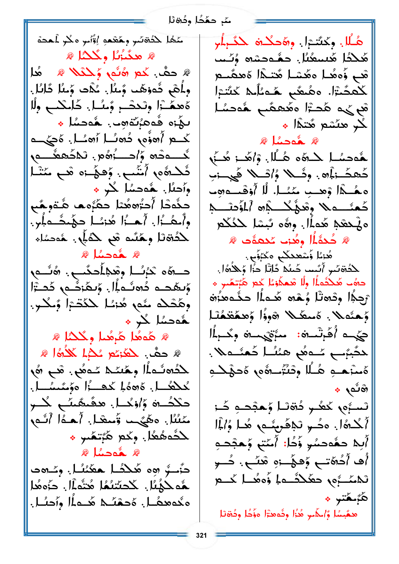مّم حمّكُل ودُة لْل

مَمْعًا لِحَدَّةِنَّسِ وِهَعْمَهِ إِوَّاسٍ مِكْرٍ لَمَحَمَّ ه محَدُّنُا وكُلُّنا ۾ *ه* حقّ کم هُنُم وُلْمُلاً *ه* هُل وٜـأُهۡم ثَـٰدوٰهٗٮ وُّٮنُا . ىٰذُڡ وِّٮنُا تُـانُا . ەُھمَـٰٓۥٓا وِنَـٰدۡبِ وَۡسُـٰا ٖ. كَاسْكَــٰبِ وِلَٰا لَّهُاهُ قُوعُ تَقْوَمِ . هُوصِمًا \* كىم آھۇە دۇھال آھىل. كۈچك لَاــــودُه وَ/حــــزُهُمْ. ثَلاَدُهغُــــو ثُكْرُهُم أُسُّبٍ. وُهِيُّ: هُبِ مَتْلَـٰا وأحلًا. هُءَحِسًا كُرِ \* حذُوْدًا أُحَرُّوهُمْا حكَّرُوها هُـُوهُم وأَحكُـزًا. أَحَـزُا هُـزَـُـا حَهَّـدَّــولَهِ. لْحُدّْقَالَ وِهَٰنُده هُم لِكُهُلٍّ. هُدَسُلُّهُ 2 Lisca 2 حــةه تْبُلُـا وقْدْلَمْحَمَــى. شَلْعَه وُبِمُحِـدٍ دُونُـدِ)ْلِ. وُبِـمُرْشُـمٍ دُحــٰٓرَا وهَدْكُمْ شُمْ هُٰٓئِنَا ۖ كَكُفْتُوا وُحُكُوب ـمُّەحسُل كُــر \* ه هُوهُا هُرهُما وكُلُّا ه ه حقّ حفّ بعد الله عليه الله عليه الله لأدهنُـه)ْ وهُسُلا سُـهمُو . هُـم هُو ىُكْتُمُدًا. كَامَةً كَتْمَدُّا وَوُسَّسُدًا. حڭڭـــە ۆ/ۈڭـــا. ھگىگى*نّــ*ى ڭـــو مِمَنُنَا. وهَيِّب وَّمِيڤِما. أَحَمُّا أَنَّم لِمُشْهَهُمُلَ. وِكُمْ هُبَّتُهُسْ \* R Lisai R دَّنُـــُو وه هَٰــدْشَــا هِهَنْنُــا. وِــُــوه هُه حَكَمُمُّا . ۖ حَدَمُتَنُمُا ۚ مُتَثَمَّاً . حَزَه مُحا ەڭدەھگىل. ەَجېقىگى ھُجەمُلَ وَرَجِبُنَال.

هُـُلّا. وكَتُنْـْمَلْ. وهُجكْـة حْخَـْبِلْر هُكْدًا هُنسعُنُا. حَمُّوجِسْهِ وُنَّـب هَم وَّەهُـا ەهُـْسَـا هُـْـدَّا ەَمھُـــم لْحَمَّتْ!. ەھُىعَّى خَەنْلُك كَتَّتْرَا مَع کے مقصوم اتّے میں میں م كُم هنَّشع هُتمًا ﴾ 2 Lisan 2 هُوصُلِ لِهُو هُـُلا. وْاهُــز هُــزَى كُهكَــزْلُمْهِ . وِثْــهُ وُ/ثَــهُ فَيْهِــزَبِ ەھْــدَّا ۋەنب مَنْــا. لَا أُوْقْـــە و كَعِنْــهِ لا وِتْعِيثُكْـــكِمْ الْمَأْفِسْــكِمْ ەلمُحقَّدِ هُومًا. وەُو بُسْا حْكُكْم & حُدَّمُّاْ وِهُن مُدَعَّف *&* هُزئا وُسْعِدكُم مَكَبُوَّمٍ. لِكُوْسُرِ أَبُّسٍ كُسُلاً قَاتَلَا جَزًّا وَلِلْأَوْلِ. دهُب هُكُدُماْل وِلْل هُمَكَّوْمُل حُصْ هَٰبُتِمُبْ \* رْجِدًا وِدْهِتْا وُهْهِ هُـماًا حِنْـمِعْرُه وُهنُه لا . هُمعُكَلا ۞ووُّا وَهمُقَهْتُمُٱلْ الْمِهِمْ أَهْبِتْسِهْ: مِبْقِيْسِهِ وِكْسِبِلَمْ حثَبُنِ سُمِعُ هنُسًا خَمْسُمِيلاً . ەُمىزىمىەِ ھُـلُا وِتْىتَرْمىۋە ، ەَحْھَكْمِ  $\bullet$   $\chi$ ূ $\circ$ تسبُّوبِ كَعْسِ دُةِتَا وُحِجْحِهِ حَـٰ; أَخْذَهَا. هَـُـو نَجْفُعِهُمْ هُـا وُالْمَا أُبِهِ حَقَّوْصُبُو وَّذُا: أَمَّتَح وَحَقِّصَهِ أَه أَدُهَّتَــم وُهمٍّــزهِ هُنَــم. دُـــو مُبْ**مُ**تر \* همَّسُا وُٱعكَّىرِ هُٰذَا وِثَّـهِ هَٰذَا هَٰذُكَا وِثَاقَالَا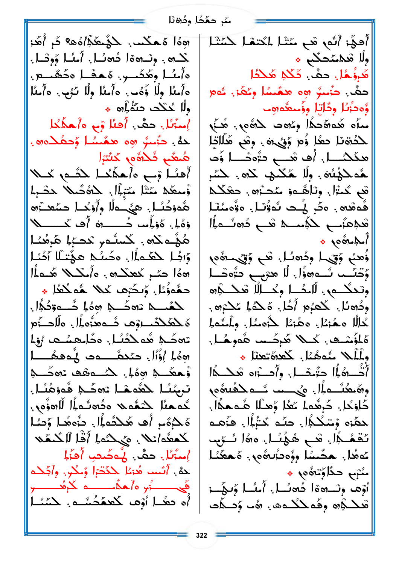مَّدٍ حَمَّحُا وِدُةَ لَا

ادِهُ أَمَّعَكَمَ بِمَكْتُمُ الْهُنَّةُ وَالْهُمْ مَنْ أَهُدَ ىلە . وتىرەۋا ئەئىل أَمنُا وُوڤىل. ەأْسُل وهُكُسِبٍ. ەْھڤىل ەڭھُسىم. ە/ۡمَلَا وِلَا ؤُهُڡ. ە/ۡمَلَا وِلَا نَـُوۡ، ە/ۡمَلَا ولًا عُنْدَد مِتَّةً إِنْ \* إِسْتَمَالٍ. حقَّ أَحِبًا وَبِي هَ أَحْكَمُكَا حةً. حَزْمَتُو وه همَّمْسًا وُحفُكُوه. هُىعُى شُلْأُهُمْ كُنُتْرَا أَهلُا وَجِ أَلْمَكْنَا لَحْقَـٰهِ كَتَلَا وْمعكُمْ مَتْنَا مَّتِبُّالٍ. حَيْثُمُكُمْ حَصْبًا هُودُنُــا. هِيْــَـولَا وأُوْحُــا حمّمْــْرَو هُؤُے كُلّهِ . كَسْنُمر تَحجَهِ هَٰبِعُمُـا وَّاجُا لِكَعْماًا. وصِّنُكُمْ هِهَّتْلَا أَضُالُ 1، مَمَّا حَسَر مُعَكَّدَه . ه/ مُحَمَّلًا هُده حِفُوَٰٓئِلٌ. وَيَحۡرَى كَيۡلاً هُوَ كُلُوۡلُ ﴾ َ كَمُسَــدُ تَهوَّــدٍ هِوْءٍ شَــوقُوْلٍ. هَ كَتَكَكَّسَاوُهَا ۖ شُـهِ مَثَوْمِ إِلَّا ۖ وَلَاحِــزُم تەكى ئەخلۇئىل. ەڭلىھئىھ }ۆل هِهُا إِذْأَا. حَمْدَهُــــــهِ لِلْـهِ هِهُـــــا أمعكم وهاب لائت هده مصلح تَرِبُمُنُـا لِكَثَمَـمْـا تَـهكَــدٍ فَـُوهُنُـا. يُدعلُ لِكَعْدِيدٍ ودُونُداً لِلْهُوْوِي. هُكْبُهُم أُف هُكْثُم}ًا. دَزْههُا وَصُا كَعْمَدُانَا } مَنْكُرُه مِنْ الْمَنْعَمَةِ مِنْ الْمَسْتَمَرَّةِ مِنْ الْمَسْتَمَرَّةِ } [الرَّحْمَ إمبَّائل حفَّ. لمُوكِّمت أُفَّئِهِ ﴾ حةً . أَتَسب هُزِيْلِ حَكَتَةٍا وَيَحْدٍ. وِأَجَحْد في أو العدَّس م كمرهُ من أَه تعُما أَوْفَ كَعَمْتُشُتُ كَتَبْتُلُمْ الْمُتَبَدَأَ أَهِيٍّ: أَنُّمٍ هُم مِّتْلِ لِمُتَمَّلِ لَكِتَنَا وِلًا مْدْمَحْكُم \* هُروُهُا. حقَّ. كَكَمٍ هَكْمًا حقٍّ. حَبْسٌ وه همَّسُل مِنْعَةٍ. شَعْرِ |وُهِ دَٰرُنَا ۖ وِذَٰرَاتِهِ ۖ وَوَٰحِمَدُوهِ ۖ مِنَه هَدهَهُدهُ المِمَهِد للهُومِ. هُنَّهِ َكَحُوْمَا الْعَمَا وُم وَّوْيُ وَ، وَهُم هَكَلَاتِهِ هكَكَـــا. أُف قَــــم تَّوَفَـــا وَّت هُه لِكُهُلُهُ . وَلَمْ هُكُمْهِي كَلِهِ . لِكُمْ هُم كُنْزَا. وِلْلُّفُو مُحْدَرُه عَلَيْكُمْ فُهمْده . هضَ لِمُـد نُهوُّنْـا. هؤُهمُنْـا تَعْدِمَنُـــع كَذِّمـــد تَعب دُه نُـــه اُمّ  $\mathbf{r}$ وُهْبُ وَقِيْهَا وِدُهْنَا. هُمْ وَقِيْحَةُهِ وَّتَـَـُــد نُــدەووا. لَا متهب دوُّەتْـــا وتَحكُّے، لَّامُصَّـا وِحُــالًا مَحكِمُ ودُهِئل. كَعَبُمِ أَجُل. هَكْمًا عَكَبُهِ. حُالًا معُنْدًا. معُنْدًا لِمُؤْمِنًا. وأَمْدُهَا هْلُؤُسْتِ . كَتْݣُلْ هُرِجْسِي هُومِهْلْ. وَلَمْلًا مُؤْمَنًا. كَعِدَةَ تَعْدَلَ \* أَخُصِهُماً احتَنِصْلِ. وأُحِسْرُوه هُكِسُمَا وەَ مِعْنُدِمَاْلِ وَيُوسِمِي مِنْدِ مِنْ مِنْدَهُ مِنْ كْلُوْكُل. كُرْهُدما عْعُلْ وُهِـلْلْ هُـدْهِدُلْ. حكَنِهِ وْسَكْكُلْ. حَنْهُ كَتُبُهُلْ. فَنَصْه ئَقْمُـٰۃُا. مٓے ھُؤُبُـا. ہ۞ا بُـٰٓءَ ب مُوهُا. هِدُسُا وِوُودُتُوهُو. وَهِعَمَّا مُتْبَعِ حَذَّاؤُتْمُّەرِ \* أَوْهَا وتَسْوَدْا دُوسًا. أُمنُسا وُبِيْ-: تَعْلَـٰـٰٓءُ۞ وِقَدْمَـٰكَـٰدِ۞. ۞ وَصَـٰٰكُ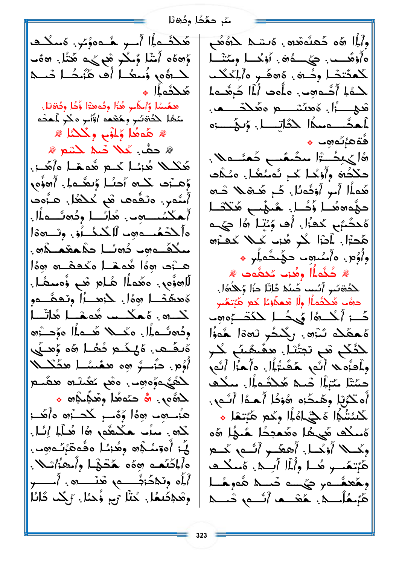مّر حمّكُل ودُة نْلا

ھَٰٓڵۮٞ؎ؠؙؙٲٳٵٖٞٮؠ؋ۿٞ؎ۉۅؙؚۻ؞ۏٞڛڴڡ ۇھەّە أَسْلَمْ وُمِكُو قىم كىم قَضًا. ھەم لِهُ هُو وُسِعْهَا أَفَّ هَٰٓئُكُمْ شَدْ هُكْثُماْ \* همُسُا وُٱلظُنِ هُٰذَا وِقُوهِ ۖ وَّذَا وَخُوَّلَ . مَطَا كَدُة مَن وَحَقَقَه أَوَّاسِ مَكَنَّ الْعَدَةِ & هَٰوهُا وُلمْوْمٍ وِكُلْهُا *ه*ِ & حقٌّ. كَلا تَمَّكُمْ كَسْعِ & هَنْكُمْ هُزَيْهِ يَحْمِ هُوهْهِ وأَهْدِ. وُهنَّو لَكِنَّه أَهلُنَا وُبْعُثُما أَرْهُوهُ وَ أَمْدَمٍ. ولَقُوم شَم مُطْعُلَ. هـزُوم أهكْسُـــــوم . هُاسُـــا وِدُهشـــه الم ەأَكْتُمُسومِت لاَكْتُخْسُوْ. وتْرەۋا سَكْفُءُوبَ دُوسًا حَدْمَعْتُمَـدْو. هنَّو هؤا هُوهُما وكُعِفْ هِ هؤا لَّاهِ وَّى وَهُومَا الْمُلْعِ هُوَ وَوَصِيعًا. هُههُشَــا هِهُا. كَنْهَـــأَا وتَعَمَّـــو تكسى فحكست مُحمسًا مُلْتَسا ودُه يُدءُلُّ مَكْنَدًا هُنْدَمُلْ وَوُحِيَّرُه ەلكىمە. ەلمىڭ ھەڭگىل ھە ۋەلىكى أُوُم. دَٰٓنَـــوُ وہ مَعْـَــُنَــا مَكَــُــلا لمَشْهُدُوهِ وَمَعْ مَعْدَلِهِ مَعْدَلِهِ لِهُومٍ. ﴿ حَمَوهُا وِقَدِيمَهُ وَ ﴾ عُنْسِيْهِ وَوَا وُمَّسِ كُحِبْرَهِ وَأَهْبَ كَلُّهِ. سِلُّفَ هَكْتُفُو هُ أَهْلَهِ إِنَّا. لَىٰ: اُدْتِسُـٰٓ\$ِي وِهُـٰٓ;َـُـا دَفَّدَتَّےَٰٓكِ مِي . هُ الْمَنَعَــهِ وَهُو هَنْدَهْا وأَسْعَةُ مَسْلًا . أَبَأَه وِلْكُنْذُهُــــــــهِ هُلْــــــــه . أُمـــــــــــو وِهْدِفَعَعُل. كُنْلُا رَبِي وُحِبًا. رَجِّكَت كَانُلُ

وْأَلَمْ أَهُمْ حُمْنُوهُمْ. هُنْسُمْ لَهُ هُمْ هأَوْهُكِ فِي حَكِمِيهِ وَالْمُؤْمِنَ أَوْلَحُكُمْ وَمَنْتَسَلَّ لْمَعْتَدًا وِدُهْ. هُهِفَرِ هُلْكُمْ لهُمْ أَحْدوه . مأود أَلَمْ كَرِهُـد قديم أن ةهتشب م معَكْشَمْ . ு அப்µீவும் المصنَّفة بِمُمْسَمِ الْمَسْكِينَ حكْدُهَ وِأَوْحُل كَبِ تُمْمُعُل! هنْݣُف هُدءاُا أُمر أُوْثُدْلاً. ثُم هُــْهُــلا تُــه حؤْءِ وهُــا وَّحُــا. هُـمْ حَـــم هَـَـدْتَــا هَ دَهُبًم حَدَّاً. أَه وَيُّبَا 16 كَهَــم هَدْتَا. لْمَنْزَا لَحْرِ هُنِ كَمِلاً كَعَنْتِهِ وأُوُم. ٥أَمْنُبِهِ حَجَّىثُمْلِهِ \* *® حُذُّه أُأ وهُ*ن *حُدهُ*ّه *@* ِ كَدُة *نُـبِ أَنْ*ـب كَـبُمْ دَّاتْا جُرْا وَ كُـُهُا. دهُب هَٰكُذُه أَا وَلَا شَعَكَوْنَا خَمَ كَبَّتَعْسِ كَةِ أَكْتُوا فِي حُبا لِلْكَتْبَوْوِت ەْھەكدە ئىزە . رېڭىكو ئەەۋا ھەۋا َلْأَكُلُّمْ مْمِ نَجْنُنَا. مِفْسَّمَّى كُلِّر وِمُعَنَّهَا لَهُمْ هَقَيْتُهَا وَأَهْزَا أَنَّهَا حمَّتْا مَّتزِيَّالْ ثَنِيمْ هَٰلِأَدْءِيَّالِ. مِنْلَاف أُه ذَكِّرُبَا وِهَٰىكُوْهِ هُوْدًا أَحْدُا أَكُمٍّ. كْنْتْبْدّْا هْجْيْلْهْ أْلْمْ وْكُمْ هَٰزّْتْهَا \* ەسكە ھَيىغا ەھْمجەل ھَىمَّا ھ وكبلا أُوْكِيلَ أُهجَبِ أَنْسَى كُبْعِ هَبْتُمُسِرٍ هُــا وِٱلْمَا أَبِــٰهِ. هَٰمَـكُــُّف وهَعهُــــمر حيْــــم صَــــم هُـموهــٰـل هَبُمُلَــــم. هَعْـــم أَنُـــه صَـــم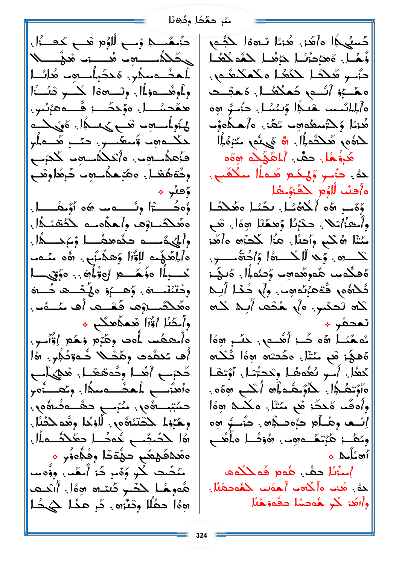مّر حمّكُل ودُة نْل

حَنْمُسَـــمْ وَسَـــمِ لْلُؤُمْ هُــــمِ كَـْفَـــزَّا. يكسش مقاسية مقسد المكترر لْمَحَّـــەمىدُىن. ەَحكَبِلُــــەت ھُائـــا وِلُوِهُـــودُاً. وِتــــــــــه أَ كُــــــــو تَـنُـــزُا ھەّحىُـــا. ەۆھكـــز قَـــەھۇئىر. عكروه بالجميز بك سوسلوني للكندوما وُسعَملو، كتب هُندأبر فأهلُمسوم. ه/ٌمحكُمسوم كحرم وِحْتَمُعْصَلَ. ٥ﻛُﺒﻤﻜؙٮﻮﺕ ﻛَﺮِﻣُﻠﻮﻣْﺐ ۇھلو ھ وُهدُّــــــٓ;ا ونُــــــــه مه أَوُعكُــــــا. ەھَكْسَارْف وْٱحْدُوت كْتَعْسُدُا. وأليه المسم حدَّمعهُـــا وُجَهــــدًا. هِ ٱلْمَكْلُمِينَ الْإِثْرَا وَعِكْلُنُبٍ . ۞ مَنْــٰءَبِ كَسِيلًا وَذَهَبِ مِنْ زُودُ أَنْ . . وَوْقِيَ وحْتْنْنْسَـــة . وُهــــبُو ولِيُـحْـــه حُـــة ەھَلامُساۋە ھُھْسە أُف مُنْسَوُب. وأَحَطُا اؤْالُ هُمكُمحُكُم \* هأَمعهُما لمُوت وِهُبْعِ وَهُوَ الْأَمْسِ. أَفْ عُدْهُوتْ وِهُتْبِلا شُووُدُمُ وَالْمَلَاءِ. ۞ كُدْمٍ أَهُـا وِدُهقهْـا. هَيْ أَبِ ەأھنَّىب لمُعشَّــەمماً). وكعــــأەر . مِمَّتِبِ ـ وَهُ مِنْ مِنْسِمِ حَمَّــ عَصْمَةَ مِ وِهَّزْوَا ۖ كَدْتَنُرُهُو ۖ وَ لَاوْكُمْ ۖ وِهُوَ كَدُمُّا ۖ وَ هُا للصَّبَّـــم تُدمُـــا حمَّلاَثُـــملًا. هڤدهَهُمهَ حؤٌةتْ وفُذُهوَ \* ِمَكُنفَ لَكُو وَقَامٍ كَمْ أَيْضًا). وِؤُهْننا هُّومُا كِتْبِ كُنْتُه وَهُلَ أَآتَــْ مَ هِهُا حِمُّلًا وِتْتَرَهِ. ثُم عَذَا جَهْدًا

كَسِيُمُ اهْمَا وَأَهَدَ. هُزْمًا تَــْمَةَ الْمَحْمَمِ ؤَهُـا. هُمْرَحَٰنُـا حَرِّهُـا حَقَّه كَعُـا دَّىبِ مَكْشًا حْكَمُّا مْكْمَكْتُدِ، ەھَــَزٖوْ أَنُــە مِ كَـعَـُكَعُــا ِ. ەَـعقِــت ەڭلەئىس ھىبا ۋىئىئىل دۇمۇر ھە هُزْمًا وَلِمُتَعْمَدِهِ مَيْ وَأَحْلَمُومَ لِّذْوَيْتُمْ مِطْيُرَةٌ ۞ . الْمُعْكُمُ مِعْقَ*مُ* هُروُهُا. حفَّ. أَلْمَٰؤُكُمْ وَهُو حةً. حَنُسٍ وُلِكُمْ هُـٰهِ أَا سَكْفُبٍ. ەأُقِيَّ لَلْوُم كَفَرْمَتْهَا وۡهُ؎ٖ ۞ه ٱلۡكُمُنُـٰلِ. ىصُنُـٰل هَعُـٰلَاصُـٰلَ وِٱمعنُاسًا . حَدَّبُنَا وَمِعْمَلَا هِءَا. شَع مِّثْلِ هُكُم وِأَحِلًا. هَٰذَا كَحْزَه هِأَهُدَ تمسع في الله المن الأوادُةُ وي ەڭگەت ھەرەھەرەت ۆدئەبال. ەنگخ ثَلادُه وفُتَحَبُّدُوب. وأَبِي حُدْا أَبِيد لَاه تحكَّس وأبي هُتَّف أُبِيه لَدْه ثعجفُر \* هُهِمُا هُو جُدَ أُهُدوبِ حَنْبٍ هِوَا ەُھلُمْ: ھُم مُتْلُ. ەَحُصْهُ وَوَٰهُ گُلُدُه كَعْلَ. أُسِرٍ تُعْدَهُمْ وِتَحِتُّمْاً. أَوُّتِهْمْ ەأَوٌتْتُمَجُّا. ݣَاوُمْشُمْلُو أَكْبِ 2009. وأَوْقُبْ وَحَدَّةٍ هُمْ مَثَلًا. وَكَلَّكُمْ هِوَٰا إِنَّــم وِهُــأَمِ حَزْهِ حَــدٍّهِ . حَزَّـــوٌ وهِ هِ وڭگَــز ھُزْتَـھُــدەِت. ھُوْئُــا مِلَّھُــحِ  $\cdot \Delta$ loj إمبَّرُلا حقٌّ. هُوم فَوحَكُومَ هةُ. هُنِ وَأَكْلُهِ أَهْمُكَ كَهُوصُمُلُ. وأرهَدِ كُر حُوصًا حفَّوفِهُنَّا -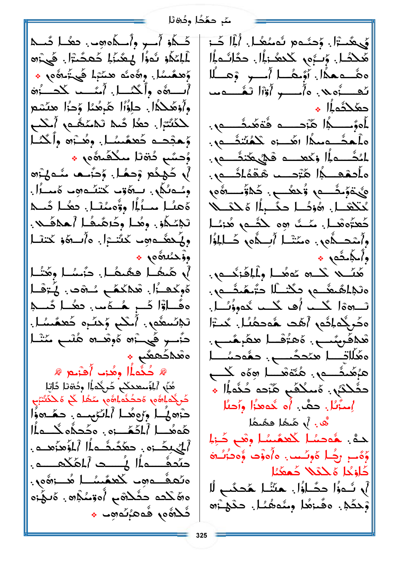مّر حمّكُل ودُة نْل

كَـٰݣُوۡ أُسِـرٖ وِأَسْـٰكُاهِ هِـٰ. حَعُـٰا تَمْـٰلا لْمَبْكُو نُووُّل لِمَعْدُمِ حُمحُمْتِل. فَيْءَ ٥ وُهِمُسُلَّ وَهُمْهُ هَدَيْهِا فَيَتَمَرْهُمْ \* أبْ وَأَكْسَا أَمْسَى كَضَرْفَه وٱوْهَكِكَالِ. حاوَّٱلْ هَرِهُمْا وَحَرَّا هِنَسْعِر لْكَنُتْرَا. دهُا ثَلمْ تَمْتَعُفُو أَنْكُمْ وِّـمثِـدے كَعمَّــٰا. وِقُــْتَ وَلَّــُمَا وُحسٌم دُةتْلْ مِلْكُمْةُهِ ﴾ لْ كَهِنُعِ وَحِمًا. وَحَنَّـم مُنَّـمٍيَّةٍ وِسُـٰدِكُمْ) . ىــەقق كتنىـُـدەوب قىمــال. هُهنُــا مـــزُبُّا وَوُّومُنْنْــا. حَعُــا كَـــــــا لْكَلَمُوْ. وِهُما وِحُرْهُمْهُما أَحْدَهُمْ. ولَححْدوه حَتَّتْ وَأَسْتَوْ حَتْسًا  $\rightarrow \infty$  o or  $\hat{\mathfrak{s}}$ ﴾ هَىعُـا فَعُـمُـا. دُنِـسُـا وِهَٰـُـا هُوِكُتْ. شَكْلُكُمُ صُـْرُهَتْ. لِمُتَوْسًا ەقَـَـاۋَا كَــرِ هُــكَمب. دەخُــا تَــــ<ِ تْبْلَىنْتُمْمْ. أَنْكُمْ وُحْتُرِه خُعْفُسُلْ. حَنْسِرِ فَي آهِ هُوِيْمِيهِ هُلْبٍ مَثْسًا ەقداڭھىگىم \* & حُثَماً | وهُنِ أَعْنَ*مِ &* هُنِّهِ ٱلمُؤْسِعِدِكُمِ حُرِيْكُمُ! وِحُوَّتَا دَٰاتِا ضَكْمَلِشُم مُحَكُمُلِشُم مَعْلَمَ \$ مَكْتُتَبِع دْرْهِ فِي الْمِرْوَهُمَا ٱلْمُتَّهِمَـدٍ. حَكَمَـدَوْا هُوهُـــا ٱلْمُضَـــزه . وحُحدُه كُـــولُما أَلِّي بِحَـــ;ه . حعَجَّــدَ أَلا أَلمَٰوَهُ وَجَهِــد . حَنَّحفٌ \_\_ه/ُا لِمُ \_\_\_\_ لْلهَكْعـــــــه . ەئھڤُــەھِ كَعمَّسُــا مُــ;ھُەب. ەھَكْت تَشَكْلُهُم أُەقسُلَاھ. ەَنْگَزە ثَلِهُُم فُوعزُنُونِ \* يَّ هَدَّ أَبْلَ وَحَسَّمَ مَ شَمْعُهِ أَبْلَ أَحَـٰ مَ هَٰٓدۡكَـٰا. وۡۡلـَّزۡى ۖ كَدۡعُـٰٓٓٓٓٓٓہٰٓ ۖ دَنَاتُـٰہِ ۖ ۖ ەھْــەھدًا. أَوْحكْــا أُــــو وْھـــلا ئَفْسُدُهِ بِهِ وَأَسْسِرِ أَوْلَا تَمُسْدِمِد حعَّى دُولُه مِ هأهدُ مملأا الله عَهْنُتْدُ مِي. لمُكْسِمِيهُ وَالْمَحْسَنَةِ وَالْمَحْتَدَّسِيمَةٍ فِي الْمُحْسَنَةِ وَالْمُحَمَّدَةِ مِنْ مَحْسَنَة مأدهْڢهْ) هُتْوَـــب هْقْمُلُاَـــم، هُ مَوْسَسْمِهِ وُحِكْسِمٍ . كَمْتَوْسَسِينَ مِنْ مَسْتَوْرِهِ حُكْفَـا. هُوْحُـا حِكَــراًا هَكْـَــلا كَعْتُوهْمِا. مَنْتُ وَهِ لِأَشْمَعِ هُزْسًا وأَسْحِــدُّهر . مِمّثْــا أُسِـدُّهر خَــالِمُوْا وأمكمشُم \* هَنَسِد تَمْسِهِ عَهْدًا وِلْمَاهَنْدُهِ. ەتجلۇمۇسى دېتىللا دۇممەشىمى. تـــــ96 كُـــــد أُفّ كُـــد گُدوؤُنُـــا. ەكرېگەلمۇم آھُد ھُەدھُىُل. گىـتْل قدافَومِيَّىبٍ . هُهَّوْفَ لَا هِجَرِهَمَبٍ . ەھَلَلقِـــــل ھمُحصُــــــي . حصُّوحسُـــــل ەبْھُىفٌـــە ، ھُٽفھـــا ھۆە كَــــم حثُلُكُلِ. هُمكُفُمٍ هُّرْحه خُثُماً ﴾ إِسْتُمْلِ. حقَّ. أَه يُدهدُ وأحلًا هُ . ﴾ مُسْمًا هِشَمًا حة. هُوصُل كَعهُسُل وقْبٍ حُزِلِ وۡهُٮــر رَجُــل هُوسُــد . ه/ُهوۡف وُهجُلُــة كإوبُكل هَ حَمْدَ الصَّحْمَةُ الْمُسْتَمَارَ ﴾ نُـءوُّا حجُـاوُّا. حمَّتْـا حَجَجَــع لَّا أَوْحِكُمْ. هِقَىٰزْهُا وِمُنْهِهُما. حَكَمْ ِرْهِ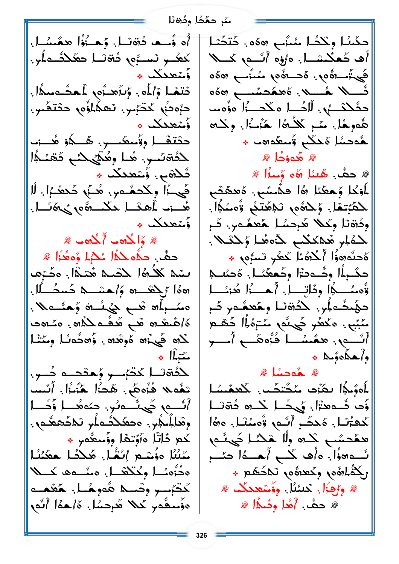مّر حمّكُل ودُة لْل

أَهْ وَّـــْـهَا دُةَوْلَــا بِهَــْ وَوُّا هِـمَّـنْدَ الْ كَعُـــرِ تَســرُّهر دُةتَــا حَفَكْـتَـــملُر. ۆشكىك ھ ثتقا وْٱللَّهِ. وۡلَاهِـنُوۡم لَّاهِـدَّـهِ مِدۡلَّا. دَ<sub>أ</sub>ْوَدُوْ كَتَّبُسْ. تَعَكَّلُؤُو حَثَنَّفُسْ. ۇشەدىك ھ دِثْتُهْــا وِوُّمعُمْــــو. هُـــدُوْ هُـــزم لْحُدْةَسُـرِ. هُـا وِهُنَّكِيْكُمْ دُقْسُـهَٰا ئُلاھى. ۆشقىكك ھ فَي أَا وِكَحِمْدِرٍ. هُنِّي حَكِفُ¦. لَا ھُــز، لَمَـدْــل حكْـــوهُ مِنْ مُنْــلْ. ۇشغىك م حقٍّ. حذُّه حَذَا عُجْمًا وُهِ هُذَا ﴿ بشط كلاُثُما للصَّبط مُتبكَّا. وكَبْهَب الأَجْتَفِ مِنْ الْمُسْمَدِ الْمُسْدَلِّينَ ەمئىبلە ئىس بىئى ئەسئىكە . Wمىشە هُ/هُنفُتُه شَم هُنفُـه لِلْهُ». هنُنهت لْكُلُّهِ ۚ فَيَـٰزَقَ هُوقَدَهَ ۚ وَاللَّهِ مَا وَمَنْتُـلَّا وَمَنْتُـلَّا یں اگریت لمُدُة ٱلْمَدَّرُوبِ وَحَدْدِدِ دُورٍ. تَعُمِيهِ فُزُوهَى. هُجْرًا هُزُنُرًا. أَنُنِي أَنُسِمٍ كَهِنْسَمْنُو. حِمْمَعُسَا وَّحُسَا وقَدَلِلَّمِ وَحَمَلَ مَنْ الْمَحَمَعُ وَمِنْ وَاللَّهُ وَالَّذَّاءِ وَالَّذَّاءِ وَالَّذَّاءِ وَالْ <sup>ى</sup>كم دَّاتْا ەَبُرْتقا وِزُمىغُەر \* مَعْنُمُا وَوُسْعِ إِنْقُا. هَٰكُمَا حَقَيْنُا هكُوْما وِمُغْلَقْط. مِنْسَمِعْهِ كَمِيلًا كَتْبُـــو وَتَـــك هُومُــل مَقْمــه وَفَسِقُومٍ كَلَّلًا هُرِجِسًا. وَأَلَّمَهُ! أَنَّفَ

حكْسُا وِكْحُـا مُنْنَى 500. حُتْحَتَـا أَفْ كُمْكُنْسْبًا. هُزُوْه أَنُّسُمْ كَسْلًا فَى تَسْتَوْمِ وَقْتَ وَمَوْمَ مِنْكُمْ وَمِنْ مِنْ مَنْ وَمِنْ مِنْ مِنْ حثُكْتُـــرُو. لَاحُـــــل مكْحـــرُا ۚ مؤُه مب هُومِمًا. مَمْ لِلْكُمُا هُنُواْ. وِكْلُو مُوصِمًا وَحِكْمٍ وَمَعَدُونٍ ﴾ **کا مُدوْدُ کا پ** ه حقٌّ. هَلْمُ أَهُ وَسَدًا \* لَمُوْكَلِ وَحَمَّكُمْ 16 هَدَّمَسَمٍ. هَمْمُقْصَم ِلْلْكَبِّتْقَلْ. وُلْلَثُوهِ لَكِلْفُلْكُمْ وُّومُنُواْ. ودُةِثا وكُلا هُرِجِسًا هُعِهُءَنٍ كَرِ لْحَمْلِرِ شَكْكُنِي لْأَوْهُا وَلِحْقَلًا . ەَحِنُّەووُّا أَكْتُوكَا كَعْدِ نَسْرُهِ \* حكْبِماْ وحُــودْرَا وحُـعمَّنْــا. هَحْنْـــــمْ قُومُكُما وطَلِّلٍ أَحْسَنُوا هُنْ ا حهُىثُـه أُبن حَدُّةتا وِحَمْعَـهُـهر كَـرِ هَمَّهِ ﴾ [الْمُجَمَّدُ مِصْرِحَ بِمُعَدَهِ . مِبْئِدَ  $\bullet$  A  $\bullet$   $\bullet$   $\bullet$   $\bullet$   $\bullet$   $\bullet$   $\bullet$ A Lisca A لِمَوَّىمُ! بِمَّآدِ مَكْتَكَبٍ. كَعْشَيْدا ؤَد شُــوهيْٓا. ۚ يُحتُــا كَـــرُّهُ دُرْوَسَــا كَعْتُرْسَا. ەُحْصَّرِ ٱلَّـٰمِ وُّەمْشَا. ەھْ١ هنْرِحَ لَكُمْ وَلَا هَكْ جَسْمَهُمْ ئے‰وُل: ہ/ُف کُلس اُلھے اُلگت وَكِذُلِهُمْ وَكَعِدَهُ مِنْ مَشْتَكَمَعَ ، وَوَدُّلَ: تَعْسُلُ: وَوَّسْعَدَكَ ، *ه* حقٌّ. أمُّا وضُمُّا *ه*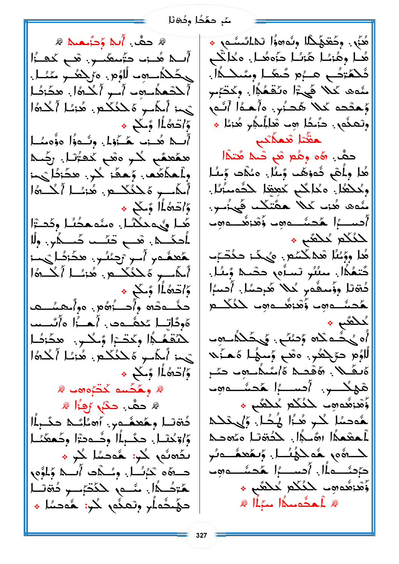مّم حمّصًا ودُةِ لْل

@ حقٍّ. أَ*لَ*هُ وَحَنُّمِيهُ @ أَسِمْ هُــزم حَتَّمعَكَسِـرٍ. هَبِ كَـهــزَّا حِكْكُمِــومِ لَلْوُو. وَكَلِكُمْــو مَكْكُمْــو أَكْتُعَكّْسِومَا أُسِرٍ أَكْتَدُّاً. هَجَّرْتُنَا يْمِنْ أَمِكْسِ هَ حَكْكُمْ. هُنْسًا أَكْتُهَا ﴿ وَاٰدَهُٰٓاْ إِسْكَا ﴾ أَبِيهِ هُــزَبٍ ۖ هُــزُوْلَ. وِيُــووُّل هؤُه مُـل همُعمَّم لُار هُم مُعتُّلَا. رَجُما وِٱهلاَهُم وَهفَا لَكُنْ هَدَاكُمْ يَهْدَ أَمكْسِ هَ لِمَنْكُسِ هُوَ الْمَسْلَمِ أَكْسَرُهُ ا وَادْهُمَاْ وَجِي \* هَٰـا وَيُحكُمُّـا. مِنْعمعُصُّا وِكَعـَرَّا ـأحكَــــم. هَــــم تَـنَـــب كَـــــكُبر. وِلَا أَمكْسِ هَ لِمَنْكُمْ. هُزَسًا أَكْمَهُ! وَادْهُمَاْ وُلَّى \* حكُسوتُه وأُحسُرُهُمْ. ووأُمعسُسْ هُوِدًاتِهِ لِمَحْقَّدِهِ . أَحَسَنُوا وأَنْسَسَ َكْتَعْشُجُا وِكْتَـْءَا وُمِكْـرٍ. مَحَادُــا يْ أَسْكُسِ هَ حَكْكُمْ. هُٰزَيْنَا أَيْحُدُهُ وَاخْدَهُ أَا وَكُمْ \* & وهُكُسه كَتْبُرُه مِن & ه حقّ حبّ رُو اُ ه دُةتل وهُعهُــــمر. أهمُلْــُـــمْ حدٌـــزِـمُلْـــم وُاوْكُنْسَا. حَكَـٰبِمَاْ وِحُـُـٰهِۖدْرَا وِحُـٰهِكَنُسَا ىكُەئە كُر: ھُەھسُا كُر ﴾ حَــْهُ٥ نْدُبُـُـلْ. وِـُـُـكُمَّدَ أَبَــكُ وَلَمُؤَهَّرٍ هَّتْدُمَّا. مُّـــم كَكَّدِّبـــو دُةتــا حهُخُملُو وِتَعثُمِ ۚ كُو: هُءَحِسُلَ \*

هُنَّى وِحُقَدُكُما وِنُوهُوْا لَمْالَسُنُمِي \* هُــا وِهُنْــا هُنْــا حَوْهُــا. مْدَلْتُــم ثَلَكْتَرُبِ عَــَٰزَمَ شَعَّـَـا مِنُنَـلُـدًا. مُنَهِ كَلا فَيْ أَ هَنْقَهُمْ!. وِكَذَّبِس وُحقَّده كَلا هُدَّسْ, ه/ُحَدًّا أَنَّم وِتَعِنُّهِ . حَنُبْطُ هِ قَالَمِكُمْ هُزْمًا \* مغكا شمكتب حقٍّ. هُه وهُم شَى شَيْءُ هُتِّمَّا هُا وِلَمْعَ ثَدَوْهُم وُمِلًا. دَىٰذُك وُمُلًا وِكْلْعُدَا. مْكَاكْبِ كَعِقِدَا لْلْأَعْمَنْزَيْلَ. منُهِ هُذِ كَلًّا هِقَتْكُمْ فَيٰ أُسِي. أحسب المحشوما وقنوه وسمو لمُكْم مُلْعُبِ \* هُا وِوَّىُلْا هْدْكْسُعْ. ۞ حُكْمَ حَدُّمَّت كَتْݣَارْ. مىللُو تْسَلّْقْ حَضْيْ وُسْلِّ. دُةَتَا وِؤُسِعْهِ ۚ كُلَّا هُرِهِمَا ۚ أَهْسَرُا مُصنَّده وَهُنْ وَهُوَ وَهُمَعَ عَلَيْهِ مِنْ حَقَوْلُ مَعْ مَدَّلِ مَعْ ىُلْكُمْ \* أَه يُحْدهُمْ وَمِنْبٌ . وَيَحْكُمُ وَهِ لْلَهُمْ حَكِلْتُكُو. هَبْ وَسَهْلُ هَمَنُكُ ەڭلا. ھەقھىلا ەڭگىلگىچە كىر هُهِكُبِ أَحْسَبُهُ هُجِسٌّـــوقِ ؤْهْرْهُوهِ لْمُلْكُمْ يُمْلِكُمْ \* هْكَمْرِ مُنْ أَيْتُمْ يَكُمْ الْمُحَمَّدِينَ مْعَعْمَا الصَّبَارِ. حَدُّقَالَ مَمْعَدَ لمَـــِوَّى هُــمَــٰهُــُــا ِ وَبِـمُعِمْـــوبُر دَرْدَتُـــــولَمان أحســــــرا حَكْمَــــــــووب ؤْهْرْهُوو، لِمُكُمْ يُحْقُبُ \* O 12 1 August 2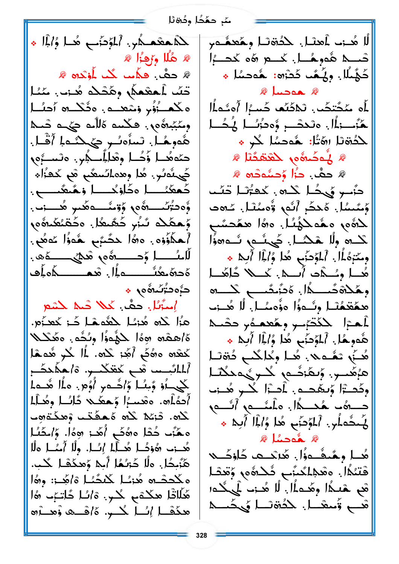مَّدٍ حَمَّحُا وِدُةَ لَا

لِلْمُعْتُمِيكُمْرِ. ٱلْمُؤْتَنُبِ شَا وُاٰ أَلَّا \* ه هاًا دَعْبَا هِ ه حقٌّ، فَلَمس لَكَ لَمُوْكَنَهُ *ه* تْتُبْ لْمَعْمَكُمْ وِهُتْكُمْ هُـٰزَٰبٍ. مَنْـٰلِ ەڭمشۇر وشىھە . ەڭكى » أحسًا مِسَّبِّبِهِ وَمَا اللَّهُ مَنْ اللَّهُ مِنْ الْمَسْمَعِينَ مِنْ هُومِمَا. تسأوسُرِ صَحْبُوا أَقْبَا. حمّەهُـــا وُحُـــا وِهْلَلُمـــدُور. ەتســـرُور كَهِنْدَىُنِ. هُا وِهْمَائَسْعَُمِ هُمْ كَعَزَاءُ كُمْعَكْمُ لِمَا وَكَاوَكُمْ لِلَّا وَحَقَّمَعْكُمْ فَسَمَّ بِ وُّەدْتُكَــــەُّە\ وُقِنْقَـــەكْتىر كُـــــزى. ۇھكىلە ئىنُى خَشَىعُل. ەخقىُعْدەُە أَهْلُؤُوْهِ . وَهُ الْحَصَّرُبِ اهْوَزُا عُوهُرٍ. ەَدەَ مِكْنُــــــــــــەلِمَا . قىمــــــــــــكَ مِلَو ू √ုဝတ်ထိုသိ**ု⊃** إمبرَّتُل. حقَّ. كَمِلا شَيم حَسْم هُرَا كُلُو هُزْئِل كَعْمَهْلِ جُدْ كَعِيَرُم. هُ/هفَه هِهُ/ لِحُهُورُ وِيُثُم . هَفَلَكُمْ كَعْدَه هَهُمْ أَهُدَ كَلَّهَ. لَمَا كُلِّ هُدَهَا ٱلملبَّــــــــــــ تَحتَّكَـــــــر. 15هـجُـكـــــــــر لْكَيْحَارُوْ وَْبِئُنَا وَٰۗٓاصُومٍ أُوُمٍ. وَلَمَّا هُـوَاءَ أَحِدُاْهِ. وقْعَبْ! وَحَقَّــهِ دَّانُــا وِهُــأَلَمْـ لْكُلُه. قَبْنُكُمْ لَكُلُهُ هُمُعَكَّبٌ وْهَكَّـةُلُهُمْ ەھَنَّە حُثَّا ەھُکَّى اُهَٰ: ھِھُا. وَاٰمِکَ*نُ*ا هُـــزب هُوْحُــا هُــلْما إِنُــا. وِلَّا أَمِنُــا هِلَّا هَّبُدًا. ولَّا دَّنُعُا أَبِهِ وَمِكْفًا كُبٍ. ه كُحجْــره هُـزْسُـل كَلْحَسُـل هْ/هُــز: ورْهُ هَٰلَاتْا هكْدُم كُـرٍ. وْابُـا دُلتبُ هَٰا هدَفْ إِنْ لَا جِن هَافْ هِ وْهِـرْهِ

لًا هُـ; لمُعمْل. حدُةتا وحَمْعِدَ مِ تحكم هُورهُك, كُمْ وَ هُوَ كُحِسْرًا كَهُمُلًا. ويُهُم كَتْزَه: هُوصِمُلْ \* 2 Lusan 2 لَمْهِ مَنْحَتِحَبٍ. ثَلاَضُفْ حَسْرًا أَوْشُولُا هَّزُمِيزَاًا. ەتىشىر ۋەدْتُىل ھُڪْل لِحُدِّقَالَ اهَتُلَ: هُوصُل كُلِّ \* **& لِمُحَدِّدُهِ لِلْعُنْفَضَّلَ** لَه ه حقٌّ. دُرَّا وُحِشُودُه & دُّسو فَيحُمل كُلُّهِ . كَعَتُوْسَلْ قَتَّب ۇسُسُل ەَججُر أَبُعٍ وُّوسُلْل حُروب لمَثَمَّعِ مِمُّمَكِّهُماً. وَهُ مِعْجَمَّى تَكْتُمْ وِلَا هَكْتَا. كَهْتُمْ شُمْعَةُ وِمَّةِهُماْ!. ٱلْمُؤَدَّنِي هُا وُاٰ أَإِلَٰهِ أَبِيهِ \* هُـــا وسُــدْت أَبـــد. كَـــدْ خَاهَـــا وهَكْڎَدْسُــدًا. هُدَّمْتُـــــع لْمَـــــرَه هِمُقِهُلًا وِئُدَوُّا هُؤُهِمُاً. لَا هُــزَب أهبرا للكتزسر وكهمكر دئتنا هُومِمًا. ٱلمَوِّدَى هُا وُٱلْمَا أَبِهِ \* هُنِّي يَعْـهِــد. هُــل وِحُلِكُـــمٍ دُةِيْـل هِ مَنْ مِنْ جِبْ رَسَمَ وَسَقَبَ مِنْ مَسْتَمَرَّمَ الْمَسْتَمَرَّمَ مِنْ مَنْ مَنْ مَنْ مَنْ مَنْ وِكُصَـٰٓٓٓٓٓا وِّىـٰهُـصـٰہِ. لَمَـٰـٰٓٓا لَمَـٰـہِ هُــٰٓٓءَٮ يُحشَّملُو. ٱلمُؤَمَّنَ هُا وُالْمَا أُبِهِ \* 2 Lisaie 2 هُــا وِـمُّــفُّــفُوْلَ. هُرْبْـــب كَاوْكَـــلا فَتَنُدُا. هِعْدَلَمُنَى شَكْشُو وِّعْصَا هَمِ هَـٰـٰهُا وِهُـٰدَاًا. لَا هُـٰٓنِـٰ لَمِيكُـٰدَا قَبِ وَمَعْدًا. حَدُّةَ لَا يَحْمَدُ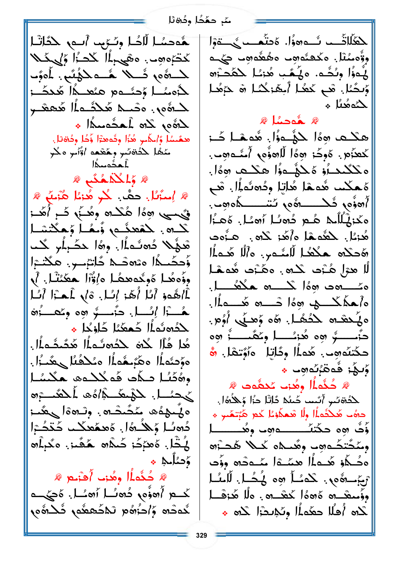مّر حمّكُل ودُة نْلا

هُوَحِسًا لَّاحًا وِنَـرَٰبٍ أَسَمٍ كَثَاتًا كالمفرولة انمك المبرهى وسيهمتم لمَسِرْهُ) فَسَلا هُسْمَلْهُنَّهِ. لَمُورُّب لأومئسا وُحثَسوم هنُعبدًا هُدَهُسَ: لحدةُهن. وصْبِهِ هُلِكُتُما السَّعْفَــبِ لِهُ مِنْ كُلُو الْمُحْمَدِيمًا ﴾ همُسُلًّا وُٱعكَّابٍ هُٰذًا وِثَّـهِ هَٰذَا وَّكُلَّ وِثَاقَالَ. مَطْ لِخُتْمَى وهَقْعَه اوْأَسِ هِ كُر أمُدُّومِهِ ا & L'ALLES ه إمزًا أ. حقَّ. كُمْ هُنْمًا هُنْمًا \* فَيْحِي هِهُا هُنْدُه وِهُنَّهِ صَّـرٍ أُهُمَّ تْكْسْ. بْخْصْفْسْكْمْ وْمْسَا وْحْتْشْسَارْ هَيْهِ دُهِنُـهِ/أ. وهُا حجَّـبِـلُو كُـب وَّحكَـــدًا 2010هـــد كَلْتَبْــــو. هكْنــــرَا وِوَّەھُـا ەُوِكُەھھُـا ە/وَّاۤا ھھَكْتْل ِ ﴾ ـٰأَاهُـٰء أَنَّا أُهَّ: إِنُـا. ۞لا ـُاهـْ:ا أَنُـا هُـــْذَا إِنْـــا. حَزْــــوٌ وهِ وَيُحـــزُوهَ لِكُوهُما الْكُمِعَيْنَا خَاوْجُا ﴾ هُا فُاْا كُنْ حَدُونُـهاْا هُـثَـمْاًا. بانْمْصِر لْنْفْكْدْه الْمَغْمَرْهُه الْمَثْعَهْهِ. وهُكَنُـا بِـكُف فَمِكْلِـمِ مِكْبِيْبِـا حْمِدْسَا. حَذَيْمَةَ جَاءُهِ لَمَحْقَدِيْهِ نىڭرىر اۋەت، مېشىشىش ھەئىمىۋە دُەئا ۆللەُهْل. ەَھكَھكْمە كَتْخُمْ ا لْمَخْلُ. هُمْ َحْدٌ حُمْلُه هُقُدْ. هَدْبِلُه وٌدياً ج & حُثَماُ! وهُنِ أَعْنُبِهِ & كسر أهوْى دُهنًا أهنًا. هَيْ م لُددَه وُاحزُهُم لَمْخُمِعُه كُلْمُهَمْ

لْمَكْلَاثُــب شَــهِ هُوَّا. هَ مَتَّعَــب يُنْتَهْوَا وَوُّەممُلْلْ مَكْفَدُّەرە مەھَتەرەب كۆپ لِمُوزًا وِيُشُم، ولِّهُبِ هُزِيًا لِلصَّدِّقِ وَسَكْنَا. هَي حَعْدَا أَبِعْنِكْمَا ۞ حَزَمُنَا شەھُىلل ∻ 2 Lisai 2 هڭمە رەەُلگۇسەۇل. ھُەھْسلا كُ كَعَذُمَ. هُوِجُرْ هِهُ الْلُهُؤُمِ أَمْدُوهِ. وتَكْتَحِبُو وَجَحَدُووُا هِتَحْمَدٍ وَوَالِ ەْھكْس مُّەھْل مُحاتِل ودُھ ئُەبُل. مْع أەۋەر ئىسسىۋەر ئىسسىگە بوت. ەڭزېڭلگى ھُى دُەئا آھئا. ەَھزَا هُزئل لِهُمْهَا وَأَهُز لَكُمْ هُ عَزُوم رَهُ حَكْمٌ هَكْمُا لَّامُحُوبِ وَأَلَّا هُجَالًا لًا هزا هُـْزَد لَكُـده . ههُـْزَد هُدهَـا ه علي الله عليه عليه الله عليه. ه أهككت به معنى الله عنه من الله عنه الله عليه الله عليه الله عليه الله عنه الله عنه الله عنه الله ع ەلمُحصَّدە للطُّھُل. ھَە وَھىلُ اُوُم. حَنْــــــوٌ وه هُـٰهُــــــا وكمُــــــوْ وه حكْنَيُووب. هُداُل ودُّاتِل وأوٌتهْل. قُ  $\rightarrow$  وَلَجْ: فَدِهَبُرُهُ $\sim$ ® حُذُه أُل وهُن، مُدهُّده ® َ كَدُة نُسٍ أَنُسب كَبِنُكَ دَٰاتًا جُلَّ وَكِلُّهَ لَ دەُب مُحْدُداً! وِلَّا مْعَجَّوْءُ! كَمْ هَزَّتْهُبْ \* ؤڤُ وہ حکّتنـَــــــــــوب وِهُـــــــــا وسُكْتكُدەم وهُمكُم كُمِلًا هُدَّرُه وكُــكُوْ هُــولَمَا همّــوْــوه ووُّد رْجَ حَقَى بِهِ حَدْثَهُ وَمِ لَهُ حُمْلٍ. لَلْمَسُل وَوَّسِعْتِ وَ وَوَوْا كَعْتِ وِ . وَلَا يَحْوَيْهِ لِ لَكُمْ أَهْلًا حَقَّدَاً وتَجْتَدَا لَكُمْ \*